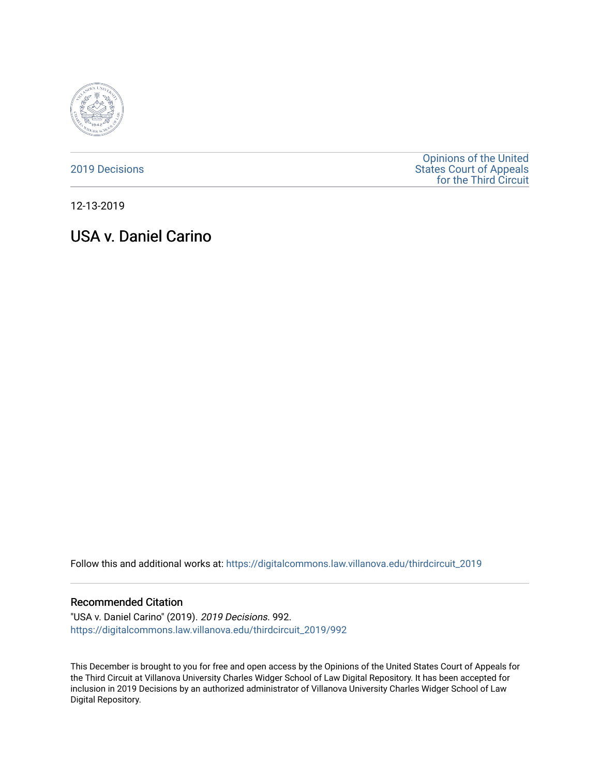

[2019 Decisions](https://digitalcommons.law.villanova.edu/thirdcircuit_2019)

[Opinions of the United](https://digitalcommons.law.villanova.edu/thirdcircuit)  [States Court of Appeals](https://digitalcommons.law.villanova.edu/thirdcircuit)  [for the Third Circuit](https://digitalcommons.law.villanova.edu/thirdcircuit) 

12-13-2019

# USA v. Daniel Carino

Follow this and additional works at: [https://digitalcommons.law.villanova.edu/thirdcircuit\\_2019](https://digitalcommons.law.villanova.edu/thirdcircuit_2019?utm_source=digitalcommons.law.villanova.edu%2Fthirdcircuit_2019%2F992&utm_medium=PDF&utm_campaign=PDFCoverPages) 

#### Recommended Citation

"USA v. Daniel Carino" (2019). 2019 Decisions. 992. [https://digitalcommons.law.villanova.edu/thirdcircuit\\_2019/992](https://digitalcommons.law.villanova.edu/thirdcircuit_2019/992?utm_source=digitalcommons.law.villanova.edu%2Fthirdcircuit_2019%2F992&utm_medium=PDF&utm_campaign=PDFCoverPages)

This December is brought to you for free and open access by the Opinions of the United States Court of Appeals for the Third Circuit at Villanova University Charles Widger School of Law Digital Repository. It has been accepted for inclusion in 2019 Decisions by an authorized administrator of Villanova University Charles Widger School of Law Digital Repository.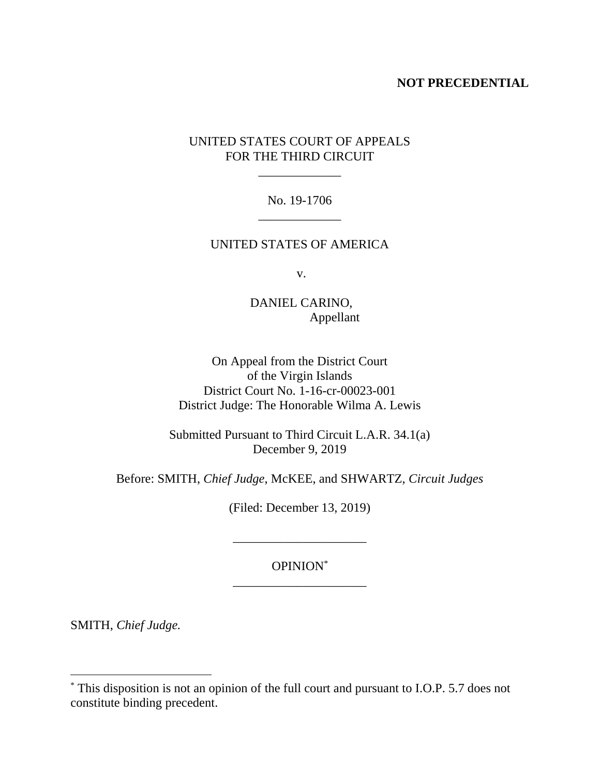### **NOT PRECEDENTIAL**

# UNITED STATES COURT OF APPEALS FOR THE THIRD CIRCUIT

\_\_\_\_\_\_\_\_\_\_\_\_\_

### No. 19-1706 \_\_\_\_\_\_\_\_\_\_\_\_\_

### UNITED STATES OF AMERICA

v.

DANIEL CARINO, Appellant

On Appeal from the District Court of the Virgin Islands District Court No. 1-16-cr-00023-001 District Judge: The Honorable Wilma A. Lewis

Submitted Pursuant to Third Circuit L.A.R. 34.1(a) December 9, 2019

Before: SMITH, *Chief Judge*, McKEE, and SHWARTZ, *Circuit Judges*

(Filed: December 13, 2019)

\_\_\_\_\_\_\_\_\_\_\_\_\_\_\_\_\_\_\_\_\_

## OPINION\* \_\_\_\_\_\_\_\_\_\_\_\_\_\_\_\_\_\_\_\_\_

SMITH, *Chief Judge.*

 $\overline{a}$ 

<sup>\*</sup> This disposition is not an opinion of the full court and pursuant to I.O.P. 5.7 does not constitute binding precedent.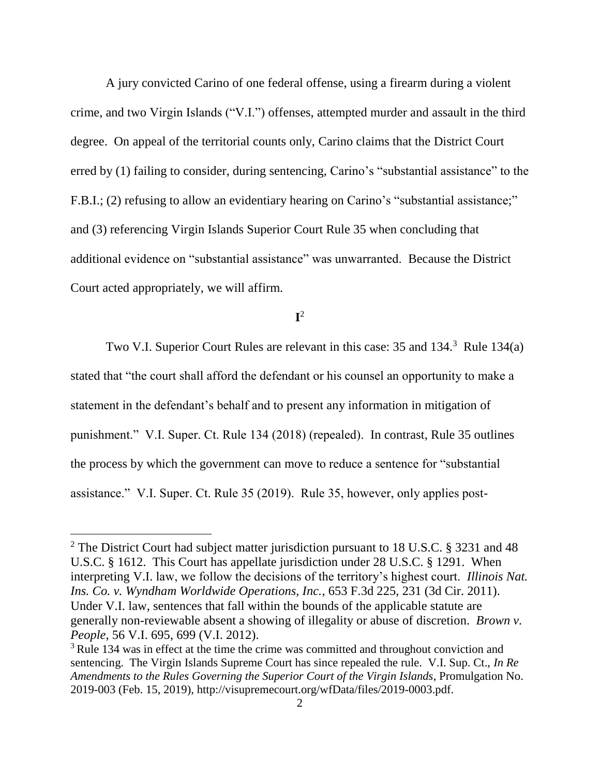A jury convicted Carino of one federal offense, using a firearm during a violent crime, and two Virgin Islands ("V.I.") offenses, attempted murder and assault in the third degree. On appeal of the territorial counts only, Carino claims that the District Court erred by (1) failing to consider, during sentencing, Carino's "substantial assistance" to the F.B.I.; (2) refusing to allow an evidentiary hearing on Carino's "substantial assistance;" and (3) referencing Virgin Islands Superior Court Rule 35 when concluding that additional evidence on "substantial assistance" was unwarranted. Because the District Court acted appropriately, we will affirm.

**I** 2

Two V.I. Superior Court Rules are relevant in this case: 35 and 134.<sup>3</sup> Rule 134(a) stated that "the court shall afford the defendant or his counsel an opportunity to make a statement in the defendant's behalf and to present any information in mitigation of punishment." V.I. Super. Ct. Rule 134 (2018) (repealed). In contrast, Rule 35 outlines the process by which the government can move to reduce a sentence for "substantial assistance." V.I. Super. Ct. Rule 35 (2019). Rule 35, however, only applies post-

 $\overline{a}$ 

<sup>&</sup>lt;sup>2</sup> The District Court had subject matter jurisdiction pursuant to 18 U.S.C. § 3231 and 48 U.S.C. § 1612. This Court has appellate jurisdiction under 28 U.S.C. § 1291. When interpreting V.I. law, we follow the decisions of the territory's highest court. *Illinois Nat. Ins. Co. v. Wyndham Worldwide Operations, Inc.*, 653 F.3d 225, 231 (3d Cir. 2011). Under V.I. law, sentences that fall within the bounds of the applicable statute are generally non-reviewable absent a showing of illegality or abuse of discretion. *Brown v. People*, 56 V.I. 695, 699 (V.I. 2012).

<sup>&</sup>lt;sup>3</sup> Rule 134 was in effect at the time the crime was committed and throughout conviction and sentencing. The Virgin Islands Supreme Court has since repealed the rule. V.I. Sup. Ct., *In Re Amendments to the Rules Governing the Superior Court of the Virgin Islands*, Promulgation No. 2019-003 (Feb. 15, 2019), http://visupremecourt.org/wfData/files/2019-0003.pdf.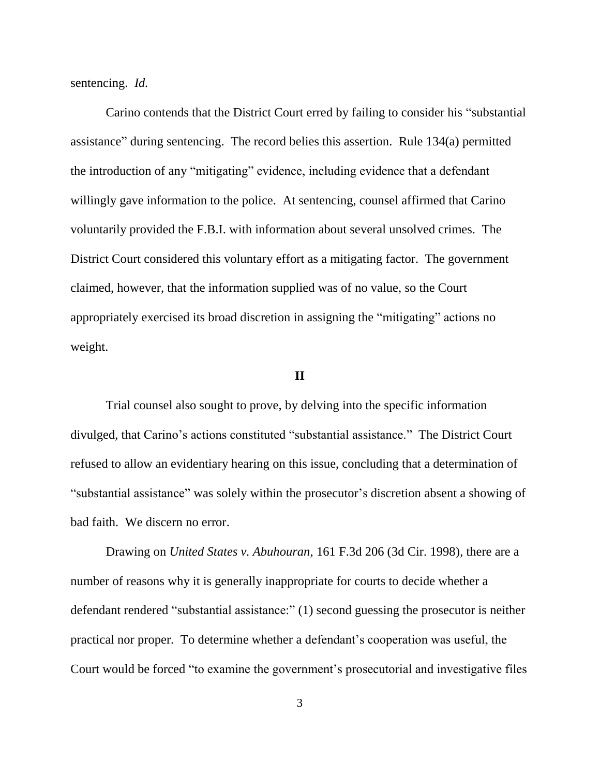sentencing. *Id.*

Carino contends that the District Court erred by failing to consider his "substantial assistance" during sentencing. The record belies this assertion. Rule 134(a) permitted the introduction of any "mitigating" evidence, including evidence that a defendant willingly gave information to the police. At sentencing, counsel affirmed that Carino voluntarily provided the F.B.I. with information about several unsolved crimes. The District Court considered this voluntary effort as a mitigating factor. The government claimed, however, that the information supplied was of no value, so the Court appropriately exercised its broad discretion in assigning the "mitigating" actions no weight.

#### **II**

Trial counsel also sought to prove, by delving into the specific information divulged, that Carino's actions constituted "substantial assistance." The District Court refused to allow an evidentiary hearing on this issue, concluding that a determination of "substantial assistance" was solely within the prosecutor's discretion absent a showing of bad faith. We discern no error.

Drawing on *United States v. Abuhouran*, 161 F.3d 206 (3d Cir. 1998), there are a number of reasons why it is generally inappropriate for courts to decide whether a defendant rendered "substantial assistance:" (1) second guessing the prosecutor is neither practical nor proper. To determine whether a defendant's cooperation was useful, the Court would be forced "to examine the government's prosecutorial and investigative files